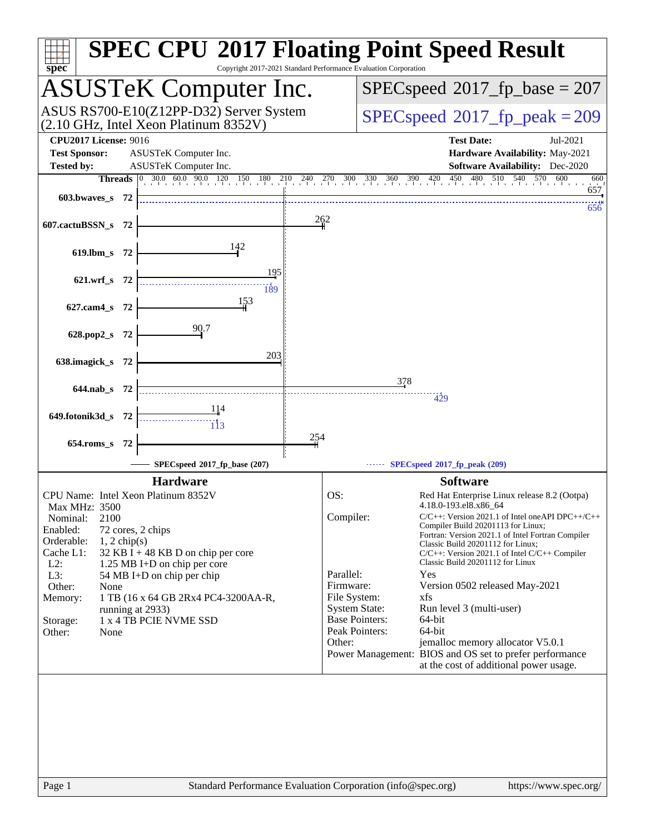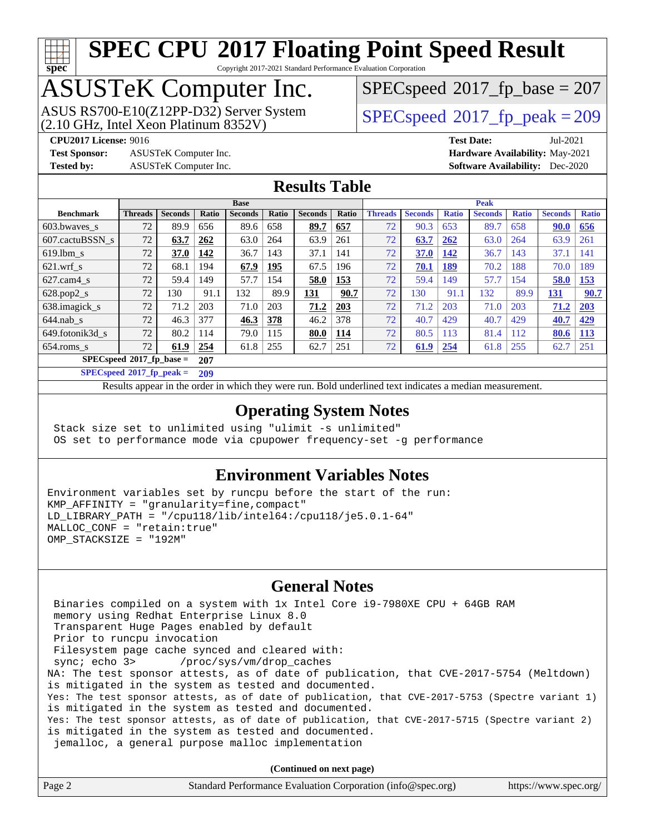# **[spec](http://www.spec.org/)**

## **[SPEC CPU](http://www.spec.org/auto/cpu2017/Docs/result-fields.html#SPECCPU2017FloatingPointSpeedResult)[2017 Floating Point Speed Result](http://www.spec.org/auto/cpu2017/Docs/result-fields.html#SPECCPU2017FloatingPointSpeedResult)**

Copyright 2017-2021 Standard Performance Evaluation Corporation

## ASUSTeK Computer Inc.

(2.10 GHz, Intel Xeon Platinum 8352V) ASUS RS700-E10(Z12PP-D32) Server System  $SPECspeed@2017$  $SPECspeed@2017$  fp\_peak = 209

[SPECspeed](http://www.spec.org/auto/cpu2017/Docs/result-fields.html#SPECspeed2017fpbase)<sup>®</sup>2017 fp base = 207

**[Test Sponsor:](http://www.spec.org/auto/cpu2017/Docs/result-fields.html#TestSponsor)** ASUSTeK Computer Inc. **[Hardware Availability:](http://www.spec.org/auto/cpu2017/Docs/result-fields.html#HardwareAvailability)** May-2021

**[CPU2017 License:](http://www.spec.org/auto/cpu2017/Docs/result-fields.html#CPU2017License)** 9016 **[Test Date:](http://www.spec.org/auto/cpu2017/Docs/result-fields.html#TestDate)** Jul-2021 **[Tested by:](http://www.spec.org/auto/cpu2017/Docs/result-fields.html#Testedby)** ASUSTeK Computer Inc. **[Software Availability:](http://www.spec.org/auto/cpu2017/Docs/result-fields.html#SoftwareAvailability)** Dec-2020

#### **[Results Table](http://www.spec.org/auto/cpu2017/Docs/result-fields.html#ResultsTable)**

|                            | <b>Base</b>    |                |       |                |       | <b>Peak</b>    |       |                |                |              |                |              |                |              |
|----------------------------|----------------|----------------|-------|----------------|-------|----------------|-------|----------------|----------------|--------------|----------------|--------------|----------------|--------------|
| <b>Benchmark</b>           | <b>Threads</b> | <b>Seconds</b> | Ratio | <b>Seconds</b> | Ratio | <b>Seconds</b> | Ratio | <b>Threads</b> | <b>Seconds</b> | <b>Ratio</b> | <b>Seconds</b> | <b>Ratio</b> | <b>Seconds</b> | <b>Ratio</b> |
| 603.bwayes_s               | 72             | 89.9           | 656   | 89.6           | 658   | 89.7           | 657   | 72             | 90.3           | 653          | 89.7           | 658          | 90.0           | 656          |
| 607.cactuBSSN s            | 72             | 63.7           | 262   | 63.0           | 264   | 63.9           | 261   | 72             | 63.7           | 262          | 63.0           | 264          | 63.9           | 261          |
| $619.1$ bm s               | 72             | 37.0           | 142   | 36.7           | 143   | 37.1           | 141   | 72             | 37.0           | 142          | 36.7           | 143          | 37.1           | 141          |
| $621.wrf$ s                | 72             | 68.1           | 194   | 67.9           | 195   | 67.5           | 196   | 72             | 70.1           | 189          | 70.2           | 188          | 70.0           | 189          |
| $627$ .cam $4 \text{ s}$   | 72             | 59.4           | 149   | 57.7           | 154   | 58.0           | 153   | 72             | 59.4           | 149          | 57.7           | 154          | 58.0           | <b>153</b>   |
| $628.pop2_s$               | 72             | 130            | 91.1  | 132            | 89.9  | 131            | 90.7  | 72             | 130            | 91.1         | 132            | 89.9         | 131            | 90.7         |
| 638.imagick_s              | 72             | 71.2           | 203   | 71.0           | 203   | 71.2           | 203   | 72             | 71.2           | 203          | 71.0           | 203          | 71.2           | 203          |
| $644$ .nab s               | 72             | 46.3           | 377   | 46.3           | 378   | 46.2           | 378   | 72             | 40.7           | 429          | 40.7           | 429          | 40.7           | 429          |
| 649.fotonik3d s            | 72             | 80.2           | 114   | 79.0           | 115   | 80.0           | 114   | 72             | 80.5           | 113          | 81.4           | 112          | 80.6           | <u>113</u>   |
| $654$ .roms s              | 72             | 61.9           | 254   | 61.8           | 255   | 62.7           | 251   | 72             | 61.9           | 254          | 61.8           | 255          | 62.7           | 251          |
| $SPECspeed*2017$ fp base = |                |                | 207   |                |       |                |       |                |                |              |                |              |                |              |

**[SPECspeed](http://www.spec.org/auto/cpu2017/Docs/result-fields.html#SPECspeed2017fppeak)[2017\\_fp\\_peak =](http://www.spec.org/auto/cpu2017/Docs/result-fields.html#SPECspeed2017fppeak) 209**

Results appear in the [order in which they were run.](http://www.spec.org/auto/cpu2017/Docs/result-fields.html#RunOrder) Bold underlined text [indicates a median measurement](http://www.spec.org/auto/cpu2017/Docs/result-fields.html#Median).

#### **[Operating System Notes](http://www.spec.org/auto/cpu2017/Docs/result-fields.html#OperatingSystemNotes)**

 Stack size set to unlimited using "ulimit -s unlimited" OS set to performance mode via cpupower frequency-set -g performance

#### **[Environment Variables Notes](http://www.spec.org/auto/cpu2017/Docs/result-fields.html#EnvironmentVariablesNotes)**

Environment variables set by runcpu before the start of the run: KMP\_AFFINITY = "granularity=fine,compact" LD LIBRARY PATH =  $\sqrt{2}$  /  $\frac{118}{100}$  /  $\frac{116}{100}$  /  $\frac{118}{100}$  /  $\frac{1164}{100}$ MALLOC\_CONF = "retain:true" OMP STACKSIZE = "192M"

#### **[General Notes](http://www.spec.org/auto/cpu2017/Docs/result-fields.html#GeneralNotes)**

 Binaries compiled on a system with 1x Intel Core i9-7980XE CPU + 64GB RAM memory using Redhat Enterprise Linux 8.0 Transparent Huge Pages enabled by default Prior to runcpu invocation Filesystem page cache synced and cleared with: sync; echo 3> /proc/sys/vm/drop\_caches NA: The test sponsor attests, as of date of publication, that CVE-2017-5754 (Meltdown) is mitigated in the system as tested and documented. Yes: The test sponsor attests, as of date of publication, that CVE-2017-5753 (Spectre variant 1) is mitigated in the system as tested and documented. Yes: The test sponsor attests, as of date of publication, that CVE-2017-5715 (Spectre variant 2) is mitigated in the system as tested and documented. jemalloc, a general purpose malloc implementation

**(Continued on next page)**

| Standard Performance Evaluation Corporation (info@spec.org)<br>Page 2 | https://www.spec.org/ |
|-----------------------------------------------------------------------|-----------------------|
|-----------------------------------------------------------------------|-----------------------|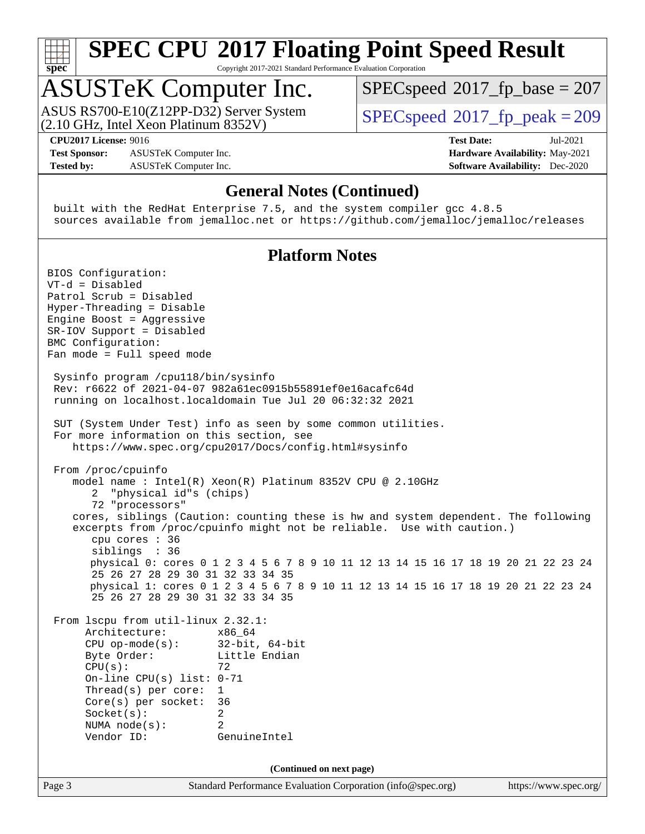

Copyright 2017-2021 Standard Performance Evaluation Corporation

## ASUSTeK Computer Inc.

(2.10 GHz, Intel Xeon Platinum 8352V) ASUS RS700-E10(Z12PP-D32) Server System  $SPECspeed@2017$  $SPECspeed@2017$  fp\_peak = 209

[SPECspeed](http://www.spec.org/auto/cpu2017/Docs/result-fields.html#SPECspeed2017fpbase)<sup>®</sup>2017 fp base = 207

**[Tested by:](http://www.spec.org/auto/cpu2017/Docs/result-fields.html#Testedby)** ASUSTeK Computer Inc. **[Software Availability:](http://www.spec.org/auto/cpu2017/Docs/result-fields.html#SoftwareAvailability)** Dec-2020

**[CPU2017 License:](http://www.spec.org/auto/cpu2017/Docs/result-fields.html#CPU2017License)** 9016 **[Test Date:](http://www.spec.org/auto/cpu2017/Docs/result-fields.html#TestDate)** Jul-2021 **[Test Sponsor:](http://www.spec.org/auto/cpu2017/Docs/result-fields.html#TestSponsor)** ASUSTeK Computer Inc. **[Hardware Availability:](http://www.spec.org/auto/cpu2017/Docs/result-fields.html#HardwareAvailability)** May-2021

#### **[General Notes \(Continued\)](http://www.spec.org/auto/cpu2017/Docs/result-fields.html#GeneralNotes)**

 built with the RedHat Enterprise 7.5, and the system compiler gcc 4.8.5 sources available from jemalloc.net or <https://github.com/jemalloc/jemalloc/releases>

#### **[Platform Notes](http://www.spec.org/auto/cpu2017/Docs/result-fields.html#PlatformNotes)**

Page 3 Standard Performance Evaluation Corporation [\(info@spec.org\)](mailto:info@spec.org) <https://www.spec.org/> BIOS Configuration: VT-d = Disabled Patrol Scrub = Disabled Hyper-Threading = Disable Engine Boost = Aggressive SR-IOV Support = Disabled BMC Configuration: Fan mode = Full speed mode Sysinfo program /cpu118/bin/sysinfo Rev: r6622 of 2021-04-07 982a61ec0915b55891ef0e16acafc64d running on localhost.localdomain Tue Jul 20 06:32:32 2021 SUT (System Under Test) info as seen by some common utilities. For more information on this section, see <https://www.spec.org/cpu2017/Docs/config.html#sysinfo> From /proc/cpuinfo model name : Intel(R) Xeon(R) Platinum 8352V CPU @ 2.10GHz 2 "physical id"s (chips) 72 "processors" cores, siblings (Caution: counting these is hw and system dependent. The following excerpts from /proc/cpuinfo might not be reliable. Use with caution.) cpu cores : 36 siblings : 36 physical 0: cores 0 1 2 3 4 5 6 7 8 9 10 11 12 13 14 15 16 17 18 19 20 21 22 23 24 25 26 27 28 29 30 31 32 33 34 35 physical 1: cores 0 1 2 3 4 5 6 7 8 9 10 11 12 13 14 15 16 17 18 19 20 21 22 23 24 25 26 27 28 29 30 31 32 33 34 35 From lscpu from util-linux 2.32.1: Architecture: x86\_64 CPU op-mode(s): 32-bit, 64-bit Byte Order: Little Endian  $CPU(s):$  72 On-line CPU(s) list: 0-71 Thread(s) per core: 1 Core(s) per socket: 36 Socket(s): 2 NUMA node(s): 2 Vendor ID: GenuineIntel **(Continued on next page)**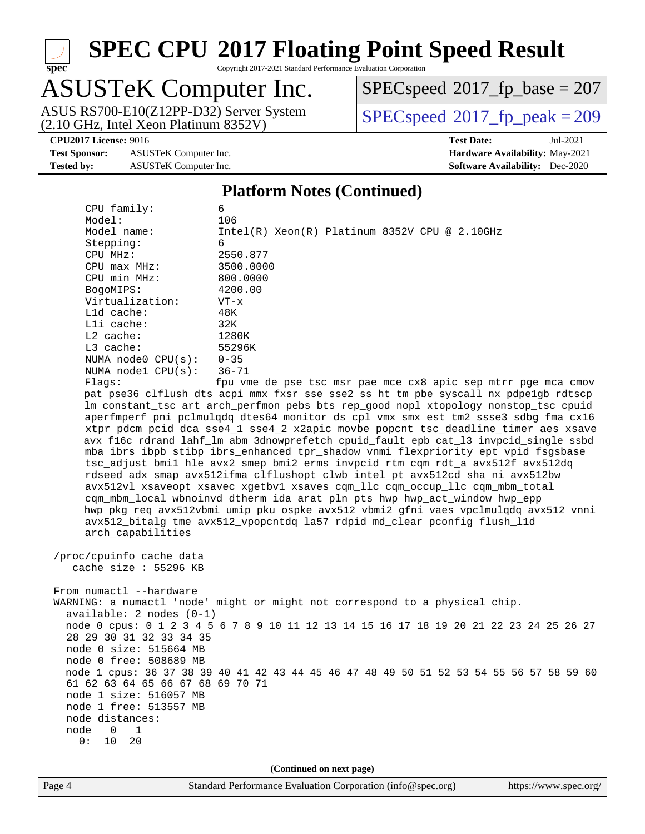

Copyright 2017-2021 Standard Performance Evaluation Corporation

# ASUSTeK Computer Inc.<br>ASUS RS700-E10(Z12PP-D32) Server System

(2.10 GHz, Intel Xeon Platinum 8352V)

 $SPECspeed^{\circledcirc}2017_fp\_base = 207$  $SPECspeed^{\circledcirc}2017_fp\_base = 207$ 

 $SPECspeed@2017_fp\_peak = 209$  $SPECspeed@2017_fp\_peak = 209$ 

**[Test Sponsor:](http://www.spec.org/auto/cpu2017/Docs/result-fields.html#TestSponsor)** ASUSTeK Computer Inc. **[Hardware Availability:](http://www.spec.org/auto/cpu2017/Docs/result-fields.html#HardwareAvailability)** May-2021 **[Tested by:](http://www.spec.org/auto/cpu2017/Docs/result-fields.html#Testedby)** ASUSTeK Computer Inc. **[Software Availability:](http://www.spec.org/auto/cpu2017/Docs/result-fields.html#SoftwareAvailability)** Dec-2020

**[CPU2017 License:](http://www.spec.org/auto/cpu2017/Docs/result-fields.html#CPU2017License)** 9016 **[Test Date:](http://www.spec.org/auto/cpu2017/Docs/result-fields.html#TestDate)** Jul-2021

#### **[Platform Notes \(Continued\)](http://www.spec.org/auto/cpu2017/Docs/result-fields.html#PlatformNotes)**

| CPU family:                                                | 6                                                                                       |  |  |  |  |  |
|------------------------------------------------------------|-----------------------------------------------------------------------------------------|--|--|--|--|--|
| Model:                                                     | 106                                                                                     |  |  |  |  |  |
| Model name:                                                | $Intel(R) Xeon(R) Platinum 8352V CPU @ 2.10GHz$                                         |  |  |  |  |  |
| Stepping:                                                  | 6                                                                                       |  |  |  |  |  |
| CPU MHz:                                                   | 2550.877                                                                                |  |  |  |  |  |
| CPU max MHz:                                               | 3500.0000                                                                               |  |  |  |  |  |
| CPU min MHz:                                               | 800.0000                                                                                |  |  |  |  |  |
| BogoMIPS:                                                  | 4200.00                                                                                 |  |  |  |  |  |
| Virtualization:                                            | $VT - x$                                                                                |  |  |  |  |  |
| Lld cache:                                                 | 48K                                                                                     |  |  |  |  |  |
| Lli cache:                                                 | 32K                                                                                     |  |  |  |  |  |
| L2 cache:                                                  | 1280K                                                                                   |  |  |  |  |  |
| $L3$ cache:                                                | 55296K                                                                                  |  |  |  |  |  |
| NUMA $node0$ $CPU(s)$ :                                    | $0 - 35$                                                                                |  |  |  |  |  |
| NUMA nodel $CPU(s):$                                       | $36 - 71$                                                                               |  |  |  |  |  |
| Flags:                                                     | fpu vme de pse tsc msr pae mce cx8 apic sep mtrr pge mca cmov                           |  |  |  |  |  |
|                                                            | pat pse36 clflush dts acpi mmx fxsr sse sse2 ss ht tm pbe syscall nx pdpelgb rdtscp     |  |  |  |  |  |
|                                                            | lm constant_tsc art arch_perfmon pebs bts rep_good nopl xtopology nonstop_tsc cpuid     |  |  |  |  |  |
|                                                            | aperfmperf pni pclmulqdq dtes64 monitor ds_cpl vmx smx est tm2 ssse3 sdbg fma cx16      |  |  |  |  |  |
|                                                            | xtpr pdcm pcid dca sse4_1 sse4_2 x2apic movbe popcnt tsc_deadline_timer aes xsave       |  |  |  |  |  |
|                                                            | avx f16c rdrand lahf_lm abm 3dnowprefetch cpuid_fault epb cat_13 invpcid_single ssbd    |  |  |  |  |  |
|                                                            | mba ibrs ibpb stibp ibrs_enhanced tpr_shadow vnmi flexpriority ept vpid fsgsbase        |  |  |  |  |  |
|                                                            | tsc_adjust bmil hle avx2 smep bmi2 erms invpcid rtm cqm rdt_a avx512f avx512dq          |  |  |  |  |  |
|                                                            | rdseed adx smap avx512ifma clflushopt clwb intel_pt avx512cd sha_ni avx512bw            |  |  |  |  |  |
|                                                            | avx512vl xsaveopt xsavec xgetbvl xsaves cqm_llc cqm_occup_llc cqm_mbm_total             |  |  |  |  |  |
|                                                            | cqm_mbm_local wbnoinvd dtherm ida arat pln pts hwp hwp_act_window hwp_epp               |  |  |  |  |  |
|                                                            | hwp_pkg_req avx512vbmi umip pku ospke avx512_vbmi2 gfni vaes vpclmulqdq avx512_vnni     |  |  |  |  |  |
|                                                            | avx512_bitalg tme avx512_vpopcntdq la57 rdpid md_clear pconfig flush_l1d                |  |  |  |  |  |
| arch_capabilities                                          |                                                                                         |  |  |  |  |  |
|                                                            |                                                                                         |  |  |  |  |  |
| /proc/cpuinfo cache data                                   |                                                                                         |  |  |  |  |  |
| cache size : 55296 KB                                      |                                                                                         |  |  |  |  |  |
|                                                            |                                                                                         |  |  |  |  |  |
| From numactl --hardware                                    |                                                                                         |  |  |  |  |  |
|                                                            | WARNING: a numactl 'node' might or might not correspond to a physical chip.             |  |  |  |  |  |
| $available: 2 nodes (0-1)$                                 |                                                                                         |  |  |  |  |  |
|                                                            | node 0 cpus: 0 1 2 3 4 5 6 7 8 9 10 11 12 13 14 15 16 17 18 19 20 21 22 23 24 25 26 27  |  |  |  |  |  |
| 28 29 30 31 32 33 34 35                                    |                                                                                         |  |  |  |  |  |
| node 0 size: 515664 MB<br>node 0 free: 508689 MB           |                                                                                         |  |  |  |  |  |
|                                                            |                                                                                         |  |  |  |  |  |
|                                                            | node 1 cpus: 36 37 38 39 40 41 42 43 44 45 46 47 48 49 50 51 52 53 54 55 56 57 58 59 60 |  |  |  |  |  |
| 61 62 63 64 65 66 67 68 69 70 71<br>node 1 size: 516057 MB |                                                                                         |  |  |  |  |  |
| node 1 free: 513557 MB                                     |                                                                                         |  |  |  |  |  |
|                                                            |                                                                                         |  |  |  |  |  |
| node distances:                                            |                                                                                         |  |  |  |  |  |
| node<br>0<br>1<br>0:<br>20<br>10                           |                                                                                         |  |  |  |  |  |
|                                                            |                                                                                         |  |  |  |  |  |
| (Continued on next page)                                   |                                                                                         |  |  |  |  |  |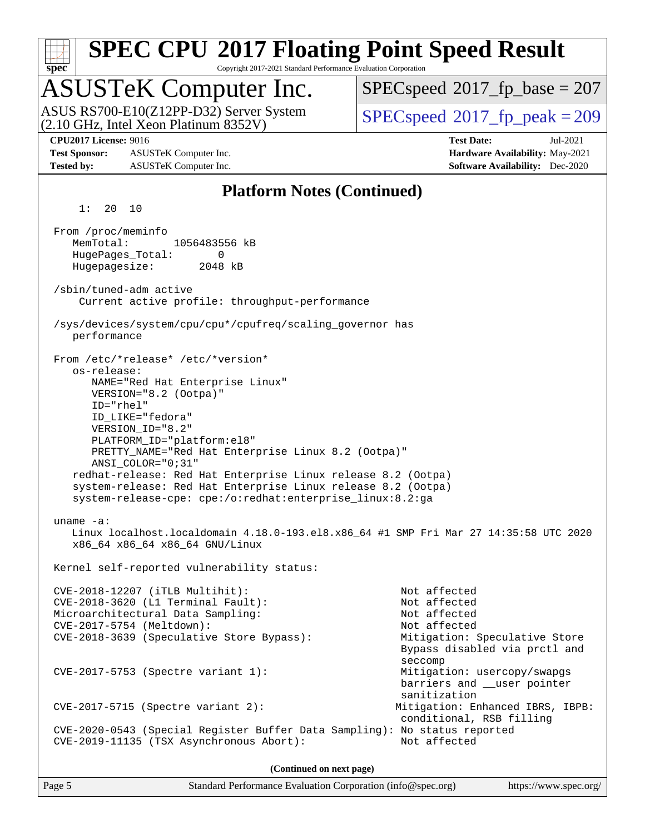

**(Continued on next page)**

Page 5 Standard Performance Evaluation Corporation [\(info@spec.org\)](mailto:info@spec.org) <https://www.spec.org/>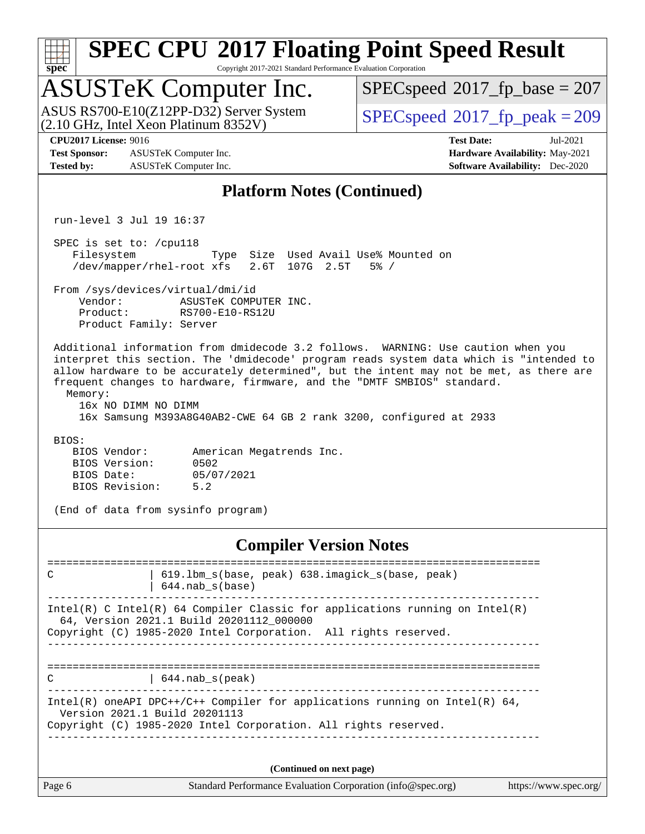| <b>SPEC CPU®2017 Floating Point Speed Result</b><br>Copyright 2017-2021 Standard Performance Evaluation Corporation<br>$spec^*$                                                                                                                                                                                                                                                                                                                            |                                                                                                            |  |  |  |  |
|------------------------------------------------------------------------------------------------------------------------------------------------------------------------------------------------------------------------------------------------------------------------------------------------------------------------------------------------------------------------------------------------------------------------------------------------------------|------------------------------------------------------------------------------------------------------------|--|--|--|--|
| <b>ASUSTeK Computer Inc.</b>                                                                                                                                                                                                                                                                                                                                                                                                                               | $SPEC speed^{\circ}2017\_fp\_base = 207$                                                                   |  |  |  |  |
| ASUS RS700-E10(Z12PP-D32) Server System<br>(2.10 GHz, Intel Xeon Platinum 8352V)                                                                                                                                                                                                                                                                                                                                                                           | $SPEC speed^{\circ}2017$ _fp_peak = 209                                                                    |  |  |  |  |
| <b>CPU2017 License: 9016</b><br><b>Test Sponsor:</b><br>ASUSTeK Computer Inc.<br><b>Tested by:</b><br>ASUSTeK Computer Inc.                                                                                                                                                                                                                                                                                                                                | <b>Test Date:</b><br>Jul-2021<br>Hardware Availability: May-2021<br><b>Software Availability:</b> Dec-2020 |  |  |  |  |
| <b>Platform Notes (Continued)</b>                                                                                                                                                                                                                                                                                                                                                                                                                          |                                                                                                            |  |  |  |  |
| run-level 3 Jul 19 16:37                                                                                                                                                                                                                                                                                                                                                                                                                                   |                                                                                                            |  |  |  |  |
| SPEC is set to: /cpull8<br>Filesystem<br>Type Size Used Avail Use% Mounted on<br>2.6T 107G 2.5T<br>/dev/mapper/rhel-root xfs                                                                                                                                                                                                                                                                                                                               | $5\%$ /                                                                                                    |  |  |  |  |
| From /sys/devices/virtual/dmi/id<br>Vendor:<br>ASUSTeK COMPUTER INC.<br>Product:<br>RS700-E10-RS12U<br>Product Family: Server                                                                                                                                                                                                                                                                                                                              |                                                                                                            |  |  |  |  |
| Additional information from dmidecode 3.2 follows. WARNING: Use caution when you<br>interpret this section. The 'dmidecode' program reads system data which is "intended to<br>allow hardware to be accurately determined", but the intent may not be met, as there are<br>frequent changes to hardware, firmware, and the "DMTF SMBIOS" standard.<br>Memory:<br>16x NO DIMM NO DIMM<br>16x Samsung M393A8G40AB2-CWE 64 GB 2 rank 3200, configured at 2933 |                                                                                                            |  |  |  |  |
| BIOS:<br>BIOS Vendor:<br>American Megatrends Inc.<br>BIOS Version:<br>0502<br>05/07/2021<br>BIOS Date:<br>5.2<br>BIOS Revision:                                                                                                                                                                                                                                                                                                                            |                                                                                                            |  |  |  |  |
| (End of data from sysinfo program)                                                                                                                                                                                                                                                                                                                                                                                                                         |                                                                                                            |  |  |  |  |
| <b>Compiler Version Notes</b>                                                                                                                                                                                                                                                                                                                                                                                                                              |                                                                                                            |  |  |  |  |
| 619.1bm_s(base, peak) 638.imagick_s(base, peak)<br>С<br>$644.nab_s(base)$                                                                                                                                                                                                                                                                                                                                                                                  |                                                                                                            |  |  |  |  |

------------------------------------------------------------------------------ Intel(R) C Intel(R) 64 Compiler Classic for applications running on Intel(R) 64, Version 2021.1 Build 20201112\_000000 Copyright (C) 1985-2020 Intel Corporation. All rights reserved.

------------------------------------------------------------------------------

============================================================================== C | 644.nab\_s(peak) ------------------------------------------------------------------------------

Intel(R) oneAPI DPC++/C++ Compiler for applications running on Intel(R) 64, Version 2021.1 Build 20201113 Copyright (C) 1985-2020 Intel Corporation. All rights reserved. ------------------------------------------------------------------------------

**(Continued on next page)**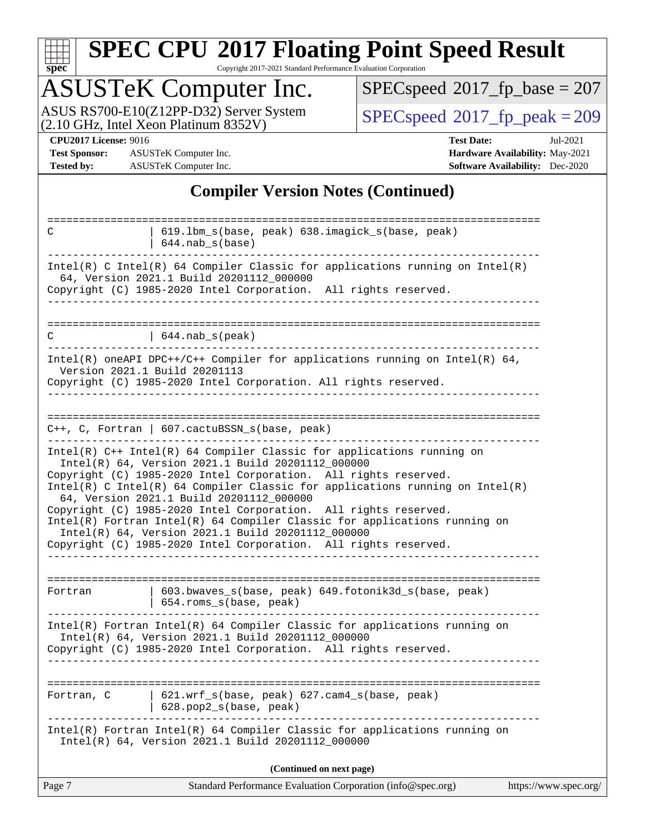| v.<br>ŧ<br>t, |  |  |  |  |  |  |
|---------------|--|--|--|--|--|--|

Copyright 2017-2021 Standard Performance Evaluation Corporation

## ASUSTeK Computer Inc.

ASUS RS700-E10(Z12PP-D32) Server System  $(2.10 \text{ GHz}, \text{ Intel Xeon Platinum } 8352 \text{V})$   $\big| \text{ SPECspeed} \textcircled{2017\_fp\_peak} = 209$  $\big| \text{ SPECspeed} \textcircled{2017\_fp\_peak} = 209$  $\big| \text{ SPECspeed} \textcircled{2017\_fp\_peak} = 209$ 

 $SPEC speed$ <sup>®</sup> $2017$ \_fp\_base = 207

**[Test Sponsor:](http://www.spec.org/auto/cpu2017/Docs/result-fields.html#TestSponsor)** ASUSTeK Computer Inc. **[Hardware Availability:](http://www.spec.org/auto/cpu2017/Docs/result-fields.html#HardwareAvailability)** May-2021 **[Tested by:](http://www.spec.org/auto/cpu2017/Docs/result-fields.html#Testedby)** ASUSTeK Computer Inc. **[Software Availability:](http://www.spec.org/auto/cpu2017/Docs/result-fields.html#SoftwareAvailability)** Dec-2020

**[CPU2017 License:](http://www.spec.org/auto/cpu2017/Docs/result-fields.html#CPU2017License)** 9016 **[Test Date:](http://www.spec.org/auto/cpu2017/Docs/result-fields.html#TestDate)** Jul-2021

#### **[Compiler Version Notes \(Continued\)](http://www.spec.org/auto/cpu2017/Docs/result-fields.html#CompilerVersionNotes)**

| C          | 619.1bm_s(base, peak) 638.imagick_s(base, peak)<br>$644.nab_s(base)$                                                                                                                              |                       |
|------------|---------------------------------------------------------------------------------------------------------------------------------------------------------------------------------------------------|-----------------------|
|            | Intel(R) C Intel(R) 64 Compiler Classic for applications running on Intel(R)<br>64, Version 2021.1 Build 20201112_000000                                                                          |                       |
|            | Copyright (C) 1985-2020 Intel Corporation. All rights reserved.                                                                                                                                   |                       |
|            |                                                                                                                                                                                                   |                       |
| C          | $644.nab_s(peak)$                                                                                                                                                                                 |                       |
|            | Intel(R) oneAPI DPC++/C++ Compiler for applications running on Intel(R) $64$ ,<br>Version 2021.1 Build 20201113<br>Copyright (C) 1985-2020 Intel Corporation. All rights reserved.                |                       |
|            | C++, C, Fortran   607.cactuBSSN_s(base, peak)                                                                                                                                                     |                       |
|            | $Intel(R)$ C++ Intel(R) 64 Compiler Classic for applications running on                                                                                                                           |                       |
|            | Intel(R) 64, Version 2021.1 Build 20201112_000000                                                                                                                                                 |                       |
|            | Copyright (C) 1985-2020 Intel Corporation. All rights reserved.<br>Intel(R) C Intel(R) 64 Compiler Classic for applications running on Intel(R)<br>64, Version 2021.1 Build 20201112_000000       |                       |
|            | Copyright (C) 1985-2020 Intel Corporation. All rights reserved.<br>Intel(R) Fortran Intel(R) 64 Compiler Classic for applications running on<br>Intel(R) 64, Version 2021.1 Build 20201112_000000 |                       |
|            | Copyright (C) 1985-2020 Intel Corporation. All rights reserved.                                                                                                                                   |                       |
|            |                                                                                                                                                                                                   |                       |
| Fortran    | 603.bwaves_s(base, peak) 649.fotonik3d_s(base, peak)<br>654.roms_s(base, peak)                                                                                                                    |                       |
|            | Intel(R) Fortran Intel(R) 64 Compiler Classic for applications running on<br>Intel(R) 64, Version 2021.1 Build 20201112_000000<br>Copyright (C) 1985-2020 Intel Corporation. All rights reserved. |                       |
|            |                                                                                                                                                                                                   |                       |
| Fortran, C | 621.wrf_s(base, peak) 627.cam4_s(base, peak)<br>628.pop2_s(base, peak)                                                                                                                            |                       |
|            | Intel(R) Fortran Intel(R) 64 Compiler Classic for applications running on<br>Intel(R) 64, Version 2021.1 Build 20201112_000000                                                                    |                       |
|            | (Continued on next page)                                                                                                                                                                          |                       |
| Page 7     | Standard Performance Evaluation Corporation (info@spec.org)                                                                                                                                       | https://www.spec.org/ |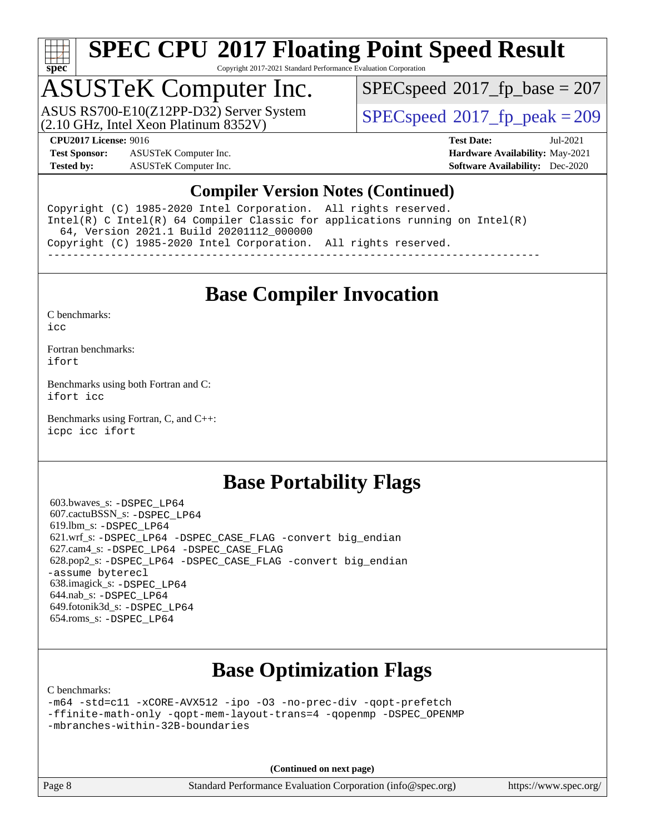

Copyright 2017-2021 Standard Performance Evaluation Corporation

# ASUSTeK Computer Inc.<br>ASUS RS700-E10(Z12PP-D32) Server System

(2.10 GHz, Intel Xeon Platinum 8352V)

[SPECspeed](http://www.spec.org/auto/cpu2017/Docs/result-fields.html#SPECspeed2017fpbase)<sup>®</sup>2017 fp base = 207

[SPECspeed](http://www.spec.org/auto/cpu2017/Docs/result-fields.html#SPECspeed2017fppeak)<sup>®</sup>2017 fp peak = 209

**[Test Sponsor:](http://www.spec.org/auto/cpu2017/Docs/result-fields.html#TestSponsor)** ASUSTeK Computer Inc. **[Hardware Availability:](http://www.spec.org/auto/cpu2017/Docs/result-fields.html#HardwareAvailability)** May-2021 **[Tested by:](http://www.spec.org/auto/cpu2017/Docs/result-fields.html#Testedby)** ASUSTeK Computer Inc. **[Software Availability:](http://www.spec.org/auto/cpu2017/Docs/result-fields.html#SoftwareAvailability)** Dec-2020

**[CPU2017 License:](http://www.spec.org/auto/cpu2017/Docs/result-fields.html#CPU2017License)** 9016 **[Test Date:](http://www.spec.org/auto/cpu2017/Docs/result-fields.html#TestDate)** Jul-2021

#### **[Compiler Version Notes \(Continued\)](http://www.spec.org/auto/cpu2017/Docs/result-fields.html#CompilerVersionNotes)**

Copyright (C) 1985-2020 Intel Corporation. All rights reserved. Intel(R) C Intel(R) 64 Compiler Classic for applications running on Intel(R) 64, Version 2021.1 Build 20201112\_000000 Copyright (C) 1985-2020 Intel Corporation. All rights reserved. ------------------------------------------------------------------------------

#### **[Base Compiler Invocation](http://www.spec.org/auto/cpu2017/Docs/result-fields.html#BaseCompilerInvocation)**

[C benchmarks](http://www.spec.org/auto/cpu2017/Docs/result-fields.html#Cbenchmarks):  $i$ cc

[Fortran benchmarks](http://www.spec.org/auto/cpu2017/Docs/result-fields.html#Fortranbenchmarks): [ifort](http://www.spec.org/cpu2017/results/res2021q3/cpu2017-20210802-28460.flags.html#user_FCbase_intel_ifort_8111460550e3ca792625aed983ce982f94888b8b503583aa7ba2b8303487b4d8a21a13e7191a45c5fd58ff318f48f9492884d4413fa793fd88dd292cad7027ca)

[Benchmarks using both Fortran and C](http://www.spec.org/auto/cpu2017/Docs/result-fields.html#BenchmarksusingbothFortranandC): [ifort](http://www.spec.org/cpu2017/results/res2021q3/cpu2017-20210802-28460.flags.html#user_CC_FCbase_intel_ifort_8111460550e3ca792625aed983ce982f94888b8b503583aa7ba2b8303487b4d8a21a13e7191a45c5fd58ff318f48f9492884d4413fa793fd88dd292cad7027ca) [icc](http://www.spec.org/cpu2017/results/res2021q3/cpu2017-20210802-28460.flags.html#user_CC_FCbase_intel_icc_66fc1ee009f7361af1fbd72ca7dcefbb700085f36577c54f309893dd4ec40d12360134090235512931783d35fd58c0460139e722d5067c5574d8eaf2b3e37e92)

[Benchmarks using Fortran, C, and C++:](http://www.spec.org/auto/cpu2017/Docs/result-fields.html#BenchmarksusingFortranCandCXX) [icpc](http://www.spec.org/cpu2017/results/res2021q3/cpu2017-20210802-28460.flags.html#user_CC_CXX_FCbase_intel_icpc_c510b6838c7f56d33e37e94d029a35b4a7bccf4766a728ee175e80a419847e808290a9b78be685c44ab727ea267ec2f070ec5dc83b407c0218cded6866a35d07) [icc](http://www.spec.org/cpu2017/results/res2021q3/cpu2017-20210802-28460.flags.html#user_CC_CXX_FCbase_intel_icc_66fc1ee009f7361af1fbd72ca7dcefbb700085f36577c54f309893dd4ec40d12360134090235512931783d35fd58c0460139e722d5067c5574d8eaf2b3e37e92) [ifort](http://www.spec.org/cpu2017/results/res2021q3/cpu2017-20210802-28460.flags.html#user_CC_CXX_FCbase_intel_ifort_8111460550e3ca792625aed983ce982f94888b8b503583aa7ba2b8303487b4d8a21a13e7191a45c5fd58ff318f48f9492884d4413fa793fd88dd292cad7027ca)

#### **[Base Portability Flags](http://www.spec.org/auto/cpu2017/Docs/result-fields.html#BasePortabilityFlags)**

 603.bwaves\_s: [-DSPEC\\_LP64](http://www.spec.org/cpu2017/results/res2021q3/cpu2017-20210802-28460.flags.html#suite_basePORTABILITY603_bwaves_s_DSPEC_LP64) 607.cactuBSSN\_s: [-DSPEC\\_LP64](http://www.spec.org/cpu2017/results/res2021q3/cpu2017-20210802-28460.flags.html#suite_basePORTABILITY607_cactuBSSN_s_DSPEC_LP64) 619.lbm\_s: [-DSPEC\\_LP64](http://www.spec.org/cpu2017/results/res2021q3/cpu2017-20210802-28460.flags.html#suite_basePORTABILITY619_lbm_s_DSPEC_LP64) 621.wrf\_s: [-DSPEC\\_LP64](http://www.spec.org/cpu2017/results/res2021q3/cpu2017-20210802-28460.flags.html#suite_basePORTABILITY621_wrf_s_DSPEC_LP64) [-DSPEC\\_CASE\\_FLAG](http://www.spec.org/cpu2017/results/res2021q3/cpu2017-20210802-28460.flags.html#b621.wrf_s_baseCPORTABILITY_DSPEC_CASE_FLAG) [-convert big\\_endian](http://www.spec.org/cpu2017/results/res2021q3/cpu2017-20210802-28460.flags.html#user_baseFPORTABILITY621_wrf_s_convert_big_endian_c3194028bc08c63ac5d04de18c48ce6d347e4e562e8892b8bdbdc0214820426deb8554edfa529a3fb25a586e65a3d812c835984020483e7e73212c4d31a38223) 627.cam4\_s: [-DSPEC\\_LP64](http://www.spec.org/cpu2017/results/res2021q3/cpu2017-20210802-28460.flags.html#suite_basePORTABILITY627_cam4_s_DSPEC_LP64) [-DSPEC\\_CASE\\_FLAG](http://www.spec.org/cpu2017/results/res2021q3/cpu2017-20210802-28460.flags.html#b627.cam4_s_baseCPORTABILITY_DSPEC_CASE_FLAG) 628.pop2\_s: [-DSPEC\\_LP64](http://www.spec.org/cpu2017/results/res2021q3/cpu2017-20210802-28460.flags.html#suite_basePORTABILITY628_pop2_s_DSPEC_LP64) [-DSPEC\\_CASE\\_FLAG](http://www.spec.org/cpu2017/results/res2021q3/cpu2017-20210802-28460.flags.html#b628.pop2_s_baseCPORTABILITY_DSPEC_CASE_FLAG) [-convert big\\_endian](http://www.spec.org/cpu2017/results/res2021q3/cpu2017-20210802-28460.flags.html#user_baseFPORTABILITY628_pop2_s_convert_big_endian_c3194028bc08c63ac5d04de18c48ce6d347e4e562e8892b8bdbdc0214820426deb8554edfa529a3fb25a586e65a3d812c835984020483e7e73212c4d31a38223) [-assume byterecl](http://www.spec.org/cpu2017/results/res2021q3/cpu2017-20210802-28460.flags.html#user_baseFPORTABILITY628_pop2_s_assume_byterecl_7e47d18b9513cf18525430bbf0f2177aa9bf368bc7a059c09b2c06a34b53bd3447c950d3f8d6c70e3faf3a05c8557d66a5798b567902e8849adc142926523472) 638.imagick\_s: [-DSPEC\\_LP64](http://www.spec.org/cpu2017/results/res2021q3/cpu2017-20210802-28460.flags.html#suite_basePORTABILITY638_imagick_s_DSPEC_LP64) 644.nab\_s: [-DSPEC\\_LP64](http://www.spec.org/cpu2017/results/res2021q3/cpu2017-20210802-28460.flags.html#suite_basePORTABILITY644_nab_s_DSPEC_LP64) 649.fotonik3d\_s: [-DSPEC\\_LP64](http://www.spec.org/cpu2017/results/res2021q3/cpu2017-20210802-28460.flags.html#suite_basePORTABILITY649_fotonik3d_s_DSPEC_LP64) 654.roms\_s: [-DSPEC\\_LP64](http://www.spec.org/cpu2017/results/res2021q3/cpu2017-20210802-28460.flags.html#suite_basePORTABILITY654_roms_s_DSPEC_LP64)

## **[Base Optimization Flags](http://www.spec.org/auto/cpu2017/Docs/result-fields.html#BaseOptimizationFlags)**

[C benchmarks](http://www.spec.org/auto/cpu2017/Docs/result-fields.html#Cbenchmarks):

[-m64](http://www.spec.org/cpu2017/results/res2021q3/cpu2017-20210802-28460.flags.html#user_CCbase_m64-icc) [-std=c11](http://www.spec.org/cpu2017/results/res2021q3/cpu2017-20210802-28460.flags.html#user_CCbase_std-icc-std_0e1c27790398a4642dfca32ffe6c27b5796f9c2d2676156f2e42c9c44eaad0c049b1cdb667a270c34d979996257aeb8fc440bfb01818dbc9357bd9d174cb8524) [-xCORE-AVX512](http://www.spec.org/cpu2017/results/res2021q3/cpu2017-20210802-28460.flags.html#user_CCbase_f-xCORE-AVX512) [-ipo](http://www.spec.org/cpu2017/results/res2021q3/cpu2017-20210802-28460.flags.html#user_CCbase_f-ipo) [-O3](http://www.spec.org/cpu2017/results/res2021q3/cpu2017-20210802-28460.flags.html#user_CCbase_f-O3) [-no-prec-div](http://www.spec.org/cpu2017/results/res2021q3/cpu2017-20210802-28460.flags.html#user_CCbase_f-no-prec-div) [-qopt-prefetch](http://www.spec.org/cpu2017/results/res2021q3/cpu2017-20210802-28460.flags.html#user_CCbase_f-qopt-prefetch) [-ffinite-math-only](http://www.spec.org/cpu2017/results/res2021q3/cpu2017-20210802-28460.flags.html#user_CCbase_f_finite_math_only_cb91587bd2077682c4b38af759c288ed7c732db004271a9512da14a4f8007909a5f1427ecbf1a0fb78ff2a814402c6114ac565ca162485bbcae155b5e4258871) [-qopt-mem-layout-trans=4](http://www.spec.org/cpu2017/results/res2021q3/cpu2017-20210802-28460.flags.html#user_CCbase_f-qopt-mem-layout-trans_fa39e755916c150a61361b7846f310bcdf6f04e385ef281cadf3647acec3f0ae266d1a1d22d972a7087a248fd4e6ca390a3634700869573d231a252c784941a8) [-qopenmp](http://www.spec.org/cpu2017/results/res2021q3/cpu2017-20210802-28460.flags.html#user_CCbase_qopenmp_16be0c44f24f464004c6784a7acb94aca937f053568ce72f94b139a11c7c168634a55f6653758ddd83bcf7b8463e8028bb0b48b77bcddc6b78d5d95bb1df2967) [-DSPEC\\_OPENMP](http://www.spec.org/cpu2017/results/res2021q3/cpu2017-20210802-28460.flags.html#suite_CCbase_DSPEC_OPENMP) [-mbranches-within-32B-boundaries](http://www.spec.org/cpu2017/results/res2021q3/cpu2017-20210802-28460.flags.html#user_CCbase_f-mbranches-within-32B-boundaries)

**(Continued on next page)**

Page 8 Standard Performance Evaluation Corporation [\(info@spec.org\)](mailto:info@spec.org) <https://www.spec.org/>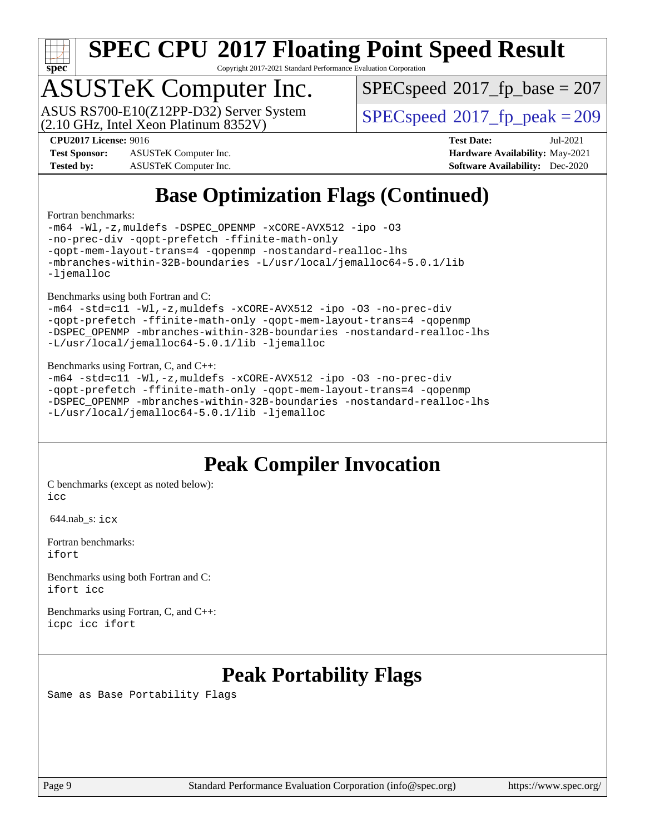

Copyright 2017-2021 Standard Performance Evaluation Corporation

# ASUSTeK Computer Inc.<br>ASUS RS700-E10(Z12PP-D32) Server System

(2.10 GHz, Intel Xeon Platinum 8352V)

[SPECspeed](http://www.spec.org/auto/cpu2017/Docs/result-fields.html#SPECspeed2017fpbase)<sup>®</sup>2017 fp base = 207

[SPECspeed](http://www.spec.org/auto/cpu2017/Docs/result-fields.html#SPECspeed2017fppeak)<sup>®</sup>2017 fp peak = 209

**[Test Sponsor:](http://www.spec.org/auto/cpu2017/Docs/result-fields.html#TestSponsor)** ASUSTeK Computer Inc. **[Hardware Availability:](http://www.spec.org/auto/cpu2017/Docs/result-fields.html#HardwareAvailability)** May-2021 **[Tested by:](http://www.spec.org/auto/cpu2017/Docs/result-fields.html#Testedby)** ASUSTeK Computer Inc. **[Software Availability:](http://www.spec.org/auto/cpu2017/Docs/result-fields.html#SoftwareAvailability)** Dec-2020

**[CPU2017 License:](http://www.spec.org/auto/cpu2017/Docs/result-fields.html#CPU2017License)** 9016 **[Test Date:](http://www.spec.org/auto/cpu2017/Docs/result-fields.html#TestDate)** Jul-2021

## **[Base Optimization Flags \(Continued\)](http://www.spec.org/auto/cpu2017/Docs/result-fields.html#BaseOptimizationFlags)**

#### [Fortran benchmarks](http://www.spec.org/auto/cpu2017/Docs/result-fields.html#Fortranbenchmarks):

[-m64](http://www.spec.org/cpu2017/results/res2021q3/cpu2017-20210802-28460.flags.html#user_FCbase_m64-icc) [-Wl,-z,muldefs](http://www.spec.org/cpu2017/results/res2021q3/cpu2017-20210802-28460.flags.html#user_FCbase_link_force_multiple1_b4cbdb97b34bdee9ceefcfe54f4c8ea74255f0b02a4b23e853cdb0e18eb4525ac79b5a88067c842dd0ee6996c24547a27a4b99331201badda8798ef8a743f577) [-DSPEC\\_OPENMP](http://www.spec.org/cpu2017/results/res2021q3/cpu2017-20210802-28460.flags.html#suite_FCbase_DSPEC_OPENMP) [-xCORE-AVX512](http://www.spec.org/cpu2017/results/res2021q3/cpu2017-20210802-28460.flags.html#user_FCbase_f-xCORE-AVX512) [-ipo](http://www.spec.org/cpu2017/results/res2021q3/cpu2017-20210802-28460.flags.html#user_FCbase_f-ipo) [-O3](http://www.spec.org/cpu2017/results/res2021q3/cpu2017-20210802-28460.flags.html#user_FCbase_f-O3) [-no-prec-div](http://www.spec.org/cpu2017/results/res2021q3/cpu2017-20210802-28460.flags.html#user_FCbase_f-no-prec-div) [-qopt-prefetch](http://www.spec.org/cpu2017/results/res2021q3/cpu2017-20210802-28460.flags.html#user_FCbase_f-qopt-prefetch) [-ffinite-math-only](http://www.spec.org/cpu2017/results/res2021q3/cpu2017-20210802-28460.flags.html#user_FCbase_f_finite_math_only_cb91587bd2077682c4b38af759c288ed7c732db004271a9512da14a4f8007909a5f1427ecbf1a0fb78ff2a814402c6114ac565ca162485bbcae155b5e4258871) [-qopt-mem-layout-trans=4](http://www.spec.org/cpu2017/results/res2021q3/cpu2017-20210802-28460.flags.html#user_FCbase_f-qopt-mem-layout-trans_fa39e755916c150a61361b7846f310bcdf6f04e385ef281cadf3647acec3f0ae266d1a1d22d972a7087a248fd4e6ca390a3634700869573d231a252c784941a8) [-qopenmp](http://www.spec.org/cpu2017/results/res2021q3/cpu2017-20210802-28460.flags.html#user_FCbase_qopenmp_16be0c44f24f464004c6784a7acb94aca937f053568ce72f94b139a11c7c168634a55f6653758ddd83bcf7b8463e8028bb0b48b77bcddc6b78d5d95bb1df2967) [-nostandard-realloc-lhs](http://www.spec.org/cpu2017/results/res2021q3/cpu2017-20210802-28460.flags.html#user_FCbase_f_2003_std_realloc_82b4557e90729c0f113870c07e44d33d6f5a304b4f63d4c15d2d0f1fab99f5daaed73bdb9275d9ae411527f28b936061aa8b9c8f2d63842963b95c9dd6426b8a) [-mbranches-within-32B-boundaries](http://www.spec.org/cpu2017/results/res2021q3/cpu2017-20210802-28460.flags.html#user_FCbase_f-mbranches-within-32B-boundaries) [-L/usr/local/jemalloc64-5.0.1/lib](http://www.spec.org/cpu2017/results/res2021q3/cpu2017-20210802-28460.flags.html#user_FCbase_jemalloc_link_path64_1_cc289568b1a6c0fd3b62c91b824c27fcb5af5e8098e6ad028160d21144ef1b8aef3170d2acf0bee98a8da324cfe4f67d0a3d0c4cc4673d993d694dc2a0df248b) [-ljemalloc](http://www.spec.org/cpu2017/results/res2021q3/cpu2017-20210802-28460.flags.html#user_FCbase_jemalloc_link_lib_d1249b907c500fa1c0672f44f562e3d0f79738ae9e3c4a9c376d49f265a04b9c99b167ecedbf6711b3085be911c67ff61f150a17b3472be731631ba4d0471706)

[Benchmarks using both Fortran and C](http://www.spec.org/auto/cpu2017/Docs/result-fields.html#BenchmarksusingbothFortranandC):

```
-m64 -std=c11 -Wl,-z,muldefs -xCORE-AVX512 -ipo -O3 -no-prec-div
-qopt-prefetch -ffinite-math-only -qopt-mem-layout-trans=4 -qopenmp
-DSPEC_OPENMP -mbranches-within-32B-boundaries -nostandard-realloc-lhs
-L/usr/local/jemalloc64-5.0.1/lib -ljemalloc
```
#### [Benchmarks using Fortran, C, and C++:](http://www.spec.org/auto/cpu2017/Docs/result-fields.html#BenchmarksusingFortranCandCXX)

```
-m64 -std=c11 -Wl,-z,muldefs -xCORE-AVX512 -ipo -O3 -no-prec-div
-qopt-prefetch -ffinite-math-only -qopt-mem-layout-trans=4 -qopenmp
-DSPEC_OPENMP -mbranches-within-32B-boundaries -nostandard-realloc-lhs
-L/usr/local/jemalloc64-5.0.1/lib -ljemalloc
```
### **[Peak Compiler Invocation](http://www.spec.org/auto/cpu2017/Docs/result-fields.html#PeakCompilerInvocation)**

[C benchmarks \(except as noted below\)](http://www.spec.org/auto/cpu2017/Docs/result-fields.html#Cbenchmarksexceptasnotedbelow): [icc](http://www.spec.org/cpu2017/results/res2021q3/cpu2017-20210802-28460.flags.html#user_CCpeak_intel_icc_66fc1ee009f7361af1fbd72ca7dcefbb700085f36577c54f309893dd4ec40d12360134090235512931783d35fd58c0460139e722d5067c5574d8eaf2b3e37e92)

644.nab\_s: [icx](http://www.spec.org/cpu2017/results/res2021q3/cpu2017-20210802-28460.flags.html#user_peakCCLD644_nab_s_intel_icx_fe2d28d19ae2a5db7c42fe0f2a2aed77cb715edd4aeb23434404a8be6683fe239869bb6ca8154ca98265c2e3b9226a719a0efe2953a4a7018c379b7010ccf087)

[Fortran benchmarks](http://www.spec.org/auto/cpu2017/Docs/result-fields.html#Fortranbenchmarks): [ifort](http://www.spec.org/cpu2017/results/res2021q3/cpu2017-20210802-28460.flags.html#user_FCpeak_intel_ifort_8111460550e3ca792625aed983ce982f94888b8b503583aa7ba2b8303487b4d8a21a13e7191a45c5fd58ff318f48f9492884d4413fa793fd88dd292cad7027ca)

[Benchmarks using both Fortran and C](http://www.spec.org/auto/cpu2017/Docs/result-fields.html#BenchmarksusingbothFortranandC): [ifort](http://www.spec.org/cpu2017/results/res2021q3/cpu2017-20210802-28460.flags.html#user_CC_FCpeak_intel_ifort_8111460550e3ca792625aed983ce982f94888b8b503583aa7ba2b8303487b4d8a21a13e7191a45c5fd58ff318f48f9492884d4413fa793fd88dd292cad7027ca) [icc](http://www.spec.org/cpu2017/results/res2021q3/cpu2017-20210802-28460.flags.html#user_CC_FCpeak_intel_icc_66fc1ee009f7361af1fbd72ca7dcefbb700085f36577c54f309893dd4ec40d12360134090235512931783d35fd58c0460139e722d5067c5574d8eaf2b3e37e92)

[Benchmarks using Fortran, C, and C++:](http://www.spec.org/auto/cpu2017/Docs/result-fields.html#BenchmarksusingFortranCandCXX) [icpc](http://www.spec.org/cpu2017/results/res2021q3/cpu2017-20210802-28460.flags.html#user_CC_CXX_FCpeak_intel_icpc_c510b6838c7f56d33e37e94d029a35b4a7bccf4766a728ee175e80a419847e808290a9b78be685c44ab727ea267ec2f070ec5dc83b407c0218cded6866a35d07) [icc](http://www.spec.org/cpu2017/results/res2021q3/cpu2017-20210802-28460.flags.html#user_CC_CXX_FCpeak_intel_icc_66fc1ee009f7361af1fbd72ca7dcefbb700085f36577c54f309893dd4ec40d12360134090235512931783d35fd58c0460139e722d5067c5574d8eaf2b3e37e92) [ifort](http://www.spec.org/cpu2017/results/res2021q3/cpu2017-20210802-28460.flags.html#user_CC_CXX_FCpeak_intel_ifort_8111460550e3ca792625aed983ce982f94888b8b503583aa7ba2b8303487b4d8a21a13e7191a45c5fd58ff318f48f9492884d4413fa793fd88dd292cad7027ca)

### **[Peak Portability Flags](http://www.spec.org/auto/cpu2017/Docs/result-fields.html#PeakPortabilityFlags)**

Same as Base Portability Flags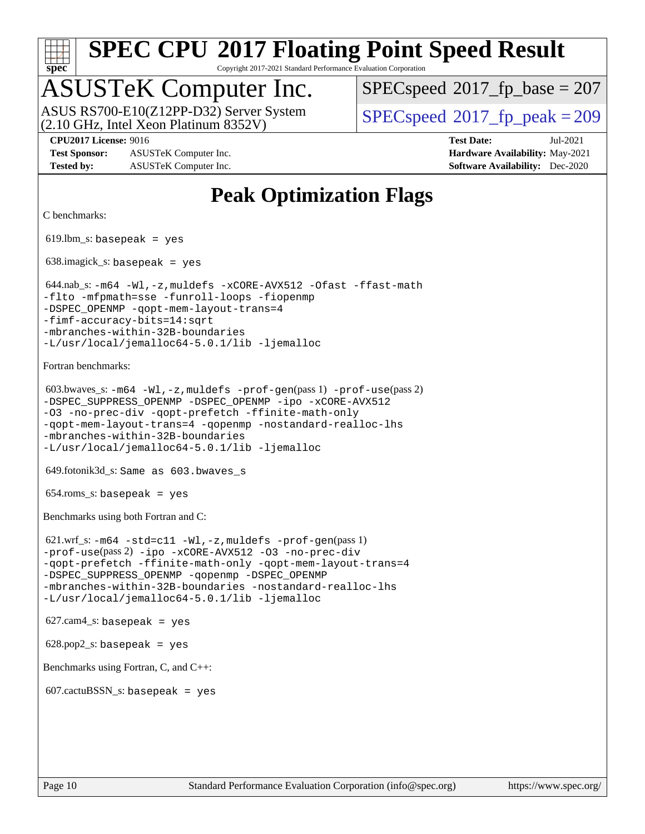

Copyright 2017-2021 Standard Performance Evaluation Corporation

## ASUSTeK Computer Inc.

(2.10 GHz, Intel Xeon Platinum 8352V) ASUS RS700-E10(Z12PP-D32) Server System  $\vert$  [SPECspeed](http://www.spec.org/auto/cpu2017/Docs/result-fields.html#SPECspeed2017fppeak)®2017 fp\_peak = 209

 $SPECspeed^{\circledcirc}2017_fp\_base = 207$  $SPECspeed^{\circledcirc}2017_fp\_base = 207$ 

**[Test Sponsor:](http://www.spec.org/auto/cpu2017/Docs/result-fields.html#TestSponsor)** ASUSTeK Computer Inc. **[Hardware Availability:](http://www.spec.org/auto/cpu2017/Docs/result-fields.html#HardwareAvailability)** May-2021 **[Tested by:](http://www.spec.org/auto/cpu2017/Docs/result-fields.html#Testedby)** ASUSTeK Computer Inc. **[Software Availability:](http://www.spec.org/auto/cpu2017/Docs/result-fields.html#SoftwareAvailability)** Dec-2020

**[CPU2017 License:](http://www.spec.org/auto/cpu2017/Docs/result-fields.html#CPU2017License)** 9016 **[Test Date:](http://www.spec.org/auto/cpu2017/Docs/result-fields.html#TestDate)** Jul-2021

#### **[Peak Optimization Flags](http://www.spec.org/auto/cpu2017/Docs/result-fields.html#PeakOptimizationFlags)**

```
C benchmarks:
```
 $619.$ lbm\_s: basepeak = yes

638.imagick\_s: basepeak = yes

```
 644.nab_s: -m64 -Wl,-z,muldefs -xCORE-AVX512 -Ofast -ffast-math
-flto -mfpmath=sse -funroll-loops -fiopenmp
-qopt-mem-layout-trans=4
-fimf-accuracy-bits=14:sqrt
-mbranches-within-32B-boundaries
-L/usr/local/jemalloc64-5.0.1/lib -ljemalloc
```
[Fortran benchmarks](http://www.spec.org/auto/cpu2017/Docs/result-fields.html#Fortranbenchmarks):

```
 603.bwaves_s: -m64 -Wl,-z,muldefs -prof-gen(pass 1) -prof-use(pass 2)
-DSPEC_SUPPRESS_OPENMP -DSPEC_OPENMP -ipo -xCORE-AVX512
-O3 -no-prec-div -qopt-prefetch -ffinite-math-only
-qopt-mem-layout-trans=4 -qopenmp -nostandard-realloc-lhs
-mbranches-within-32B-boundaries
-L/usr/local/jemalloc64-5.0.1/lib -ljemalloc
```
649.fotonik3d\_s: Same as 603.bwaves\_s

 $654$ .roms\_s: basepeak = yes

[Benchmarks using both Fortran and C](http://www.spec.org/auto/cpu2017/Docs/result-fields.html#BenchmarksusingbothFortranandC):

```
 621.wrf_s: -m64 -std=c11 -Wl,-z,muldefs -prof-gen(pass 1)
-prof-use(pass 2) -ipo -xCORE-AVX512 -O3 -no-prec-div
-qopt-prefetch -ffinite-math-only -qopt-mem-layout-trans=4
-DSPEC_SUPPRESS_OPENMP -qopenmp -DSPEC_OPENMP
-mbranches-within-32B-boundaries -nostandard-realloc-lhs
-L/usr/local/jemalloc64-5.0.1/lib -ljemalloc
```

```
627.cam4<sub>-</sub>s: basepeak = yes
```
 $628.pop2_s:$  basepeak = yes

[Benchmarks using Fortran, C, and C++:](http://www.spec.org/auto/cpu2017/Docs/result-fields.html#BenchmarksusingFortranCandCXX)

 $607$ .cactuBSSN\_s: basepeak = yes